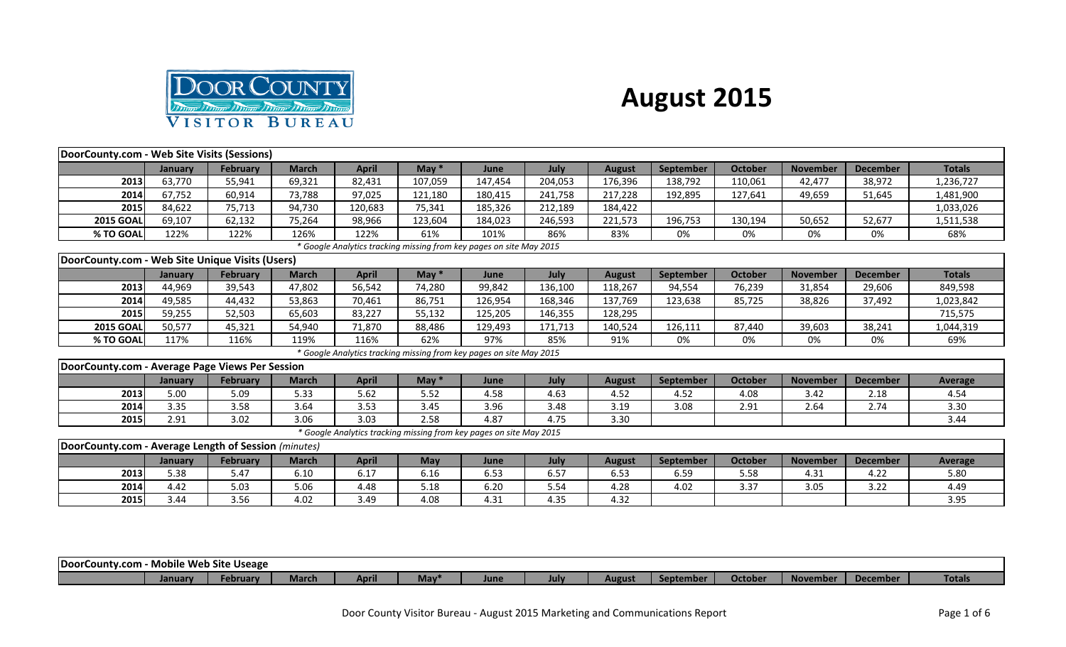

## **August 2015**

| DoorCounty.com - Web Site Visits (Sessions)          |                |                 |              |              |            |                                                                     |         |               |                  |                |                 |                 |                |
|------------------------------------------------------|----------------|-----------------|--------------|--------------|------------|---------------------------------------------------------------------|---------|---------------|------------------|----------------|-----------------|-----------------|----------------|
|                                                      | January        | <b>February</b> | <b>March</b> | <b>April</b> | May $*$    | June                                                                | July    | <b>August</b> | September        | <b>October</b> | <b>November</b> | <b>December</b> | <b>Totals</b>  |
| 2013                                                 | 63,770         | 55,941          | 69,321       | 82,431       | 107,059    | 147,454                                                             | 204,053 | 176,396       | 138,792          | 110,061        | 42,477          | 38,972          | 1,236,727      |
| 2014                                                 | 67,752         | 60,914          | 73,788       | 97.025       | 121.180    | 180.415                                                             | 241,758 | 217.228       | 192,895          | 127.641        | 49.659          | 51,645          | 1,481,900      |
| 2015                                                 | 84,622         | 75,713          | 94,730       | 120,683      | 75,341     | 185,326                                                             | 212,189 | 184,422       |                  |                |                 |                 | 1,033,026      |
| <b>2015 GOAL</b>                                     | 69,107         | 62,132          | 75,264       | 98,966       | 123,604    | 184,023                                                             | 246,593 | 221,573       | 196,753          | 130,194        | 50,652          | 52,677          | 1,511,538      |
| % TO GOAL                                            | 122%           | 122%            | 126%         | 122%         | 61%        | 101%                                                                | 86%     | 83%           | 0%               | 0%             | 0%              | 0%              | 68%            |
|                                                      |                |                 |              |              |            | * Google Analytics tracking missing from key pages on site May 2015 |         |               |                  |                |                 |                 |                |
| DoorCounty.com - Web Site Unique Visits (Users)      |                |                 |              |              |            |                                                                     |         |               |                  |                |                 |                 |                |
|                                                      | January        | <b>February</b> | <b>March</b> | <b>April</b> | May $*$    | June                                                                | July    | <b>August</b> | <b>September</b> | October        | <b>November</b> | <b>December</b> | <b>Totals</b>  |
| 2013                                                 | 44,969         | 39,543          | 47,802       | 56,542       | 74,280     | 99,842                                                              | 136,100 | 118,267       | 94,554           | 76,239         | 31,854          | 29,606          | 849,598        |
| 2014                                                 | 49,585         | 44,432          | 53,863       | 70,461       | 86,751     | 126,954                                                             | 168,346 | 137,769       | 123,638          | 85,725         | 38,826          | 37,492          | 1,023,842      |
| 2015                                                 | 59,255         | 52,503          | 65,603       | 83,227       | 55,132     | 125,205                                                             | 146,355 | 128,295       |                  |                |                 |                 | 715,575        |
| <b>2015 GOAL</b>                                     | 50,577         | 45,321          | 54,940       | 71,870       | 88,486     | 129,493                                                             | 171,713 | 140,524       | 126,111          | 87,440         | 39,603          | 38,241          | 1,044,319      |
| % TO GOAL                                            | 117%           | 116%            | 119%         | 116%         | 62%        | 97%                                                                 | 85%     | 91%           | 0%               | 0%             | 0%              | 0%              | 69%            |
|                                                      |                |                 |              |              |            | * Google Analytics tracking missing from key pages on site May 2015 |         |               |                  |                |                 |                 |                |
| DoorCounty.com - Average Page Views Per Session      |                |                 |              |              |            |                                                                     |         |               |                  |                |                 |                 |                |
|                                                      | <b>January</b> | <b>February</b> | <b>March</b> | <b>April</b> | May $*$    | June                                                                | July    | <b>August</b> | <b>September</b> | <b>October</b> | <b>November</b> | <b>December</b> | <b>Average</b> |
| 2013                                                 | 5.00           | 5.09            | 5.33         | 5.62         | 5.52       | 4.58                                                                | 4.63    | 4.52          | 4.52             | 4.08           | 3.42            | 2.18            | 4.54           |
| 2014                                                 | 3.35           | 3.58            | 3.64         | 3.53         | 3.45       | 3.96                                                                | 3.48    | 3.19          | 3.08             | 2.91           | 2.64            | 2.74            | 3.30           |
| 2015                                                 | 2.91           | 3.02            | 3.06         | 3.03         | 2.58       | 4.87                                                                | 4.75    | 3.30          |                  |                |                 |                 | 3.44           |
|                                                      |                |                 |              |              |            | * Google Analytics tracking missing from key pages on site May 2015 |         |               |                  |                |                 |                 |                |
| DoorCounty.com - Average Length of Session (minutes) |                |                 |              |              |            |                                                                     |         |               |                  |                |                 |                 |                |
|                                                      | <b>January</b> | <b>February</b> | <b>March</b> | <b>April</b> | <b>May</b> | June                                                                | July    | <b>August</b> | <b>September</b> | <b>October</b> | <b>November</b> | <b>December</b> | <b>Average</b> |
| 2013                                                 | 5.38           | 5.47            | 6.10         | 6.17         | 6.16       | 6.53                                                                | 6.57    | 6.53          | 6.59             | 5.58           | 4.31            | 4.22            | 5.80           |
| 2014                                                 | 4.42           | 5.03            | 5.06         | 4.48         | 5.18       | 6.20                                                                | 5.54    | 4.28          | 4.02             | 3.37           | 3.05            | 3.22            | 4.49           |
| 2015                                                 | 3.44           | 3.56            | 4.02         | 3.49         | 4.08       | 4.31                                                                | 4.35    | 4.32          |                  |                |                 |                 | 3.95           |
|                                                      |                |                 |              |              |            |                                                                     |         |               |                  |                |                 |                 |                |

| DoorCounty.com |        | <b>Mobile Web Site Useage</b> |              |      |             |             |             |        |               |         |                |                 |               |
|----------------|--------|-------------------------------|--------------|------|-------------|-------------|-------------|--------|---------------|---------|----------------|-----------------|---------------|
|                | Januar | February                      | <b>March</b> | ADMI | <b>IVIa</b> | <b>June</b> | <b>July</b> | August | .<br>eptembe. | Octobei | <b>Novembe</b> | <b>December</b> | <b>Totals</b> |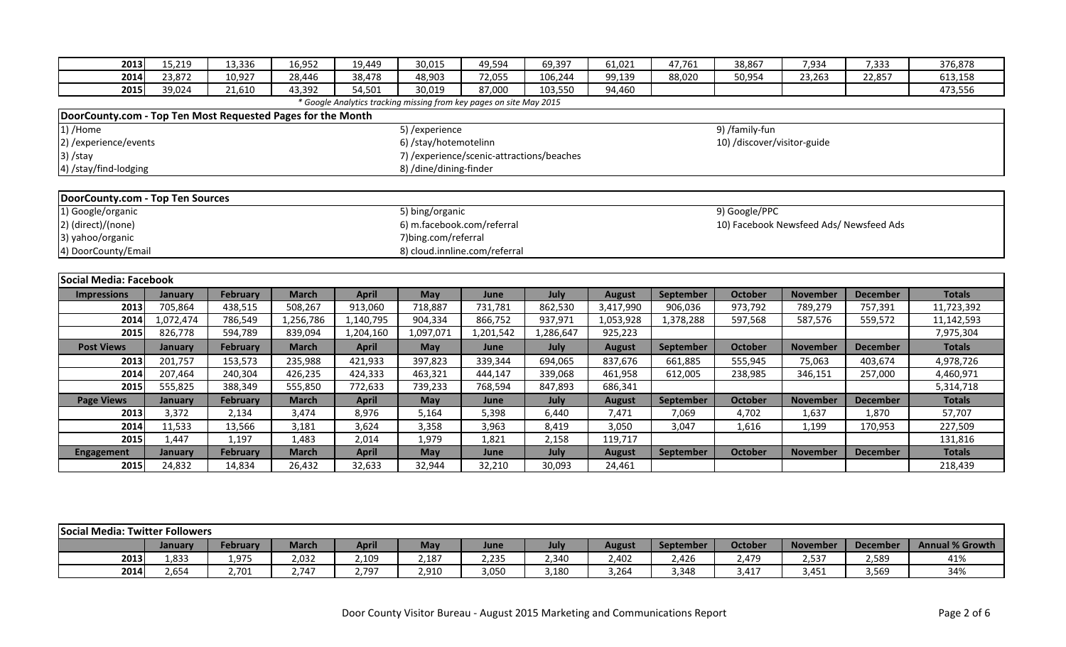| 2013                                                        | 15,219            | 13,336                    | 16,952                 | 19,449                 | 30,015                                                              | 49,594         | 69,397         | 61,021                  | 47,761    | 38.867                      | 7,934                                   | 7,333           | 376,878                  |
|-------------------------------------------------------------|-------------------|---------------------------|------------------------|------------------------|---------------------------------------------------------------------|----------------|----------------|-------------------------|-----------|-----------------------------|-----------------------------------------|-----------------|--------------------------|
| 2014                                                        | 23,872            | 10,927                    | 28,446                 | 38,478                 | 48,903                                                              | 72,055         | 106,244        | 99,139                  | 88,020    | 50,954                      | 23,263                                  | 22,857          | 613,158                  |
| 2015                                                        | 39,024            | 21,610                    | 43,392                 | 54,501                 | 30,019                                                              | 87,000         | 103,550        | 94,460                  |           |                             |                                         |                 | 473,556                  |
|                                                             |                   |                           |                        |                        | * Google Analytics tracking missing from key pages on site May 2015 |                |                |                         |           |                             |                                         |                 |                          |
| DoorCounty.com - Top Ten Most Requested Pages for the Month |                   |                           |                        |                        |                                                                     |                |                |                         |           |                             |                                         |                 |                          |
| 1) /Home                                                    |                   |                           |                        |                        | 5) / experience                                                     |                |                |                         |           | 9) /family-fun              |                                         |                 |                          |
| 2) / experience/ events                                     |                   |                           |                        |                        | 6) /stay/hotemotelinn                                               |                |                |                         |           | 10) /discover/visitor-guide |                                         |                 |                          |
| $3)$ /stay                                                  |                   |                           |                        |                        | 7) / experience/scenic-attractions/beaches                          |                |                |                         |           |                             |                                         |                 |                          |
| 4) /stay/find-lodging                                       |                   |                           |                        |                        | 8) /dine/dining-finder                                              |                |                |                         |           |                             |                                         |                 |                          |
|                                                             |                   |                           |                        |                        |                                                                     |                |                |                         |           |                             |                                         |                 |                          |
| DoorCounty.com - Top Ten Sources                            |                   |                           |                        |                        |                                                                     |                |                |                         |           |                             |                                         |                 |                          |
| 1) Google/organic                                           |                   |                           |                        |                        | 5) bing/organic                                                     |                |                |                         |           | 9) Google/PPC               |                                         |                 |                          |
| 2) (direct)/(none)                                          |                   |                           |                        |                        | 6) m.facebook.com/referral                                          |                |                |                         |           |                             | 10) Facebook Newsfeed Ads/ Newsfeed Ads |                 |                          |
| 3) yahoo/organic                                            |                   |                           |                        |                        | 7) bing.com/referral                                                |                |                |                         |           |                             |                                         |                 |                          |
| 4) DoorCounty/Email                                         |                   |                           |                        |                        | 8) cloud.innline.com/referral                                       |                |                |                         |           |                             |                                         |                 |                          |
|                                                             |                   |                           |                        |                        |                                                                     |                |                |                         |           |                             |                                         |                 |                          |
| Social Media: Facebook                                      |                   |                           |                        |                        |                                                                     |                |                |                         |           |                             |                                         |                 |                          |
| <b>Impressions</b>                                          | January           | February                  | <b>March</b>           | <b>April</b>           | May                                                                 | June           | July           | <b>August</b>           | September | <b>October</b>              | <b>November</b>                         | <b>December</b> | <b>Totals</b>            |
| 2013                                                        | 705,864           | 438,515                   | 508,267                | 913,060                | 718,887                                                             | 731,781        | 862,530        | 3,417,990               | 906,036   | 973,792                     | 789,279                                 | 757,391         | 11,723,392               |
| 2014                                                        | 1,072,474         | 786,549                   | 1,256,786              | 1,140,795              | 904,334                                                             | 866,752        | 937,971        | 1,053,928               | 1,378,288 | 597,568                     | 587,576                                 | 559,572         | 11,142,593               |
| 2015                                                        | 826,778           | 594,789                   | 839,094                | 1,204,160              | 1,097,071                                                           | 1,201,542      | 1,286,647      | 925,223                 |           |                             |                                         |                 | 7,975,304                |
| <b>Post Views</b>                                           | January           | <b>February</b>           | <b>March</b>           | <b>April</b>           | <b>May</b>                                                          | June           | July           | <b>August</b>           | September | <b>October</b>              | <b>November</b>                         | <b>December</b> | <b>Totals</b>            |
| 2013                                                        | 201,757           | 153,573                   | 235,988                | 421,933                | 397,823                                                             | 339,344        | 694,065        | 837,676                 | 661,885   | 555,945                     | 75,063                                  | 403,674         | 4,978,726                |
| 2014                                                        | 207,464           | 240,304                   | 426,235                | 424,333                | 463,321                                                             | 444,147        | 339,068        | 461,958                 | 612,005   | 238,985                     | 346,151                                 | 257,000         | 4,460,971                |
| 2015                                                        | 555,825           | 388,349                   | 555,850                | 772,633                | 739,233                                                             | 768,594        | 847,893        | 686,341                 |           |                             |                                         |                 | 5,314,718                |
| <b>Page Views</b>                                           | January           | <b>February</b>           | <b>March</b>           | <b>April</b>           | <b>May</b>                                                          | June           | July           | <b>August</b>           | September | <b>October</b>              | <b>November</b>                         | <b>December</b> | <b>Totals</b>            |
| 2013                                                        | 3,372             | 2,134                     | 3,474                  | 8,976                  | 5,164                                                               | 5,398          | 6,440          | 7,471                   | 7,069     | 4,702                       | 1,637                                   | 1,870           | 57,707                   |
| 2014                                                        | 11,533            | 13,566                    | 3,181                  | 3,624                  | 3,358                                                               | 3,963          | 8,419          | 3,050                   | 3,047     | 1,616                       | 1,199                                   | 170,953         | 227,509                  |
|                                                             | 1,447             | 1,197                     | 1,483                  | 2,014                  | 1,979                                                               | 1,821          | 2,158          | 119,717                 |           |                             |                                         |                 | 131,816                  |
| 2015                                                        |                   |                           |                        |                        |                                                                     |                |                |                         |           |                             |                                         |                 |                          |
| <b>Engagement</b><br>2015                                   | January<br>24,832 | <b>February</b><br>14,834 | <b>March</b><br>26,432 | <b>April</b><br>32,633 | <b>May</b><br>32,944                                                | June<br>32,210 | July<br>30,093 | <b>August</b><br>24,461 | September | <b>October</b>              | <b>November</b>                         | <b>December</b> | <b>Totals</b><br>218,439 |

| Social Media: Twitter Followers |                |          |              |              |       |       |       |               |                  |         |                 |                                 |                        |
|---------------------------------|----------------|----------|--------------|--------------|-------|-------|-------|---------------|------------------|---------|-----------------|---------------------------------|------------------------|
|                                 | <b>January</b> | February | <b>March</b> | <b>April</b> | May   | June  | July  | <b>August</b> | <b>September</b> | October | <b>November</b> | <b>December</b>                 | <b>Annual % Growth</b> |
| 2013                            | 1,833          | 1,975    | 2.032        | 100<br>2,1U. | 2.187 | 2,235 | 2.340 | 2,402         | 2,426            | 2.479   | 2,537           | 2,589                           | 41%                    |
| 2014                            | 2.654          | 2,701    | 717<br>2.14  | 2,797        | 2,910 | 3,050 | 3,180 | 3,264         | 3,348            | 3.417   | 3,451           | $\sim$ = $\sim$ $\sim$<br>3,569 | 34%                    |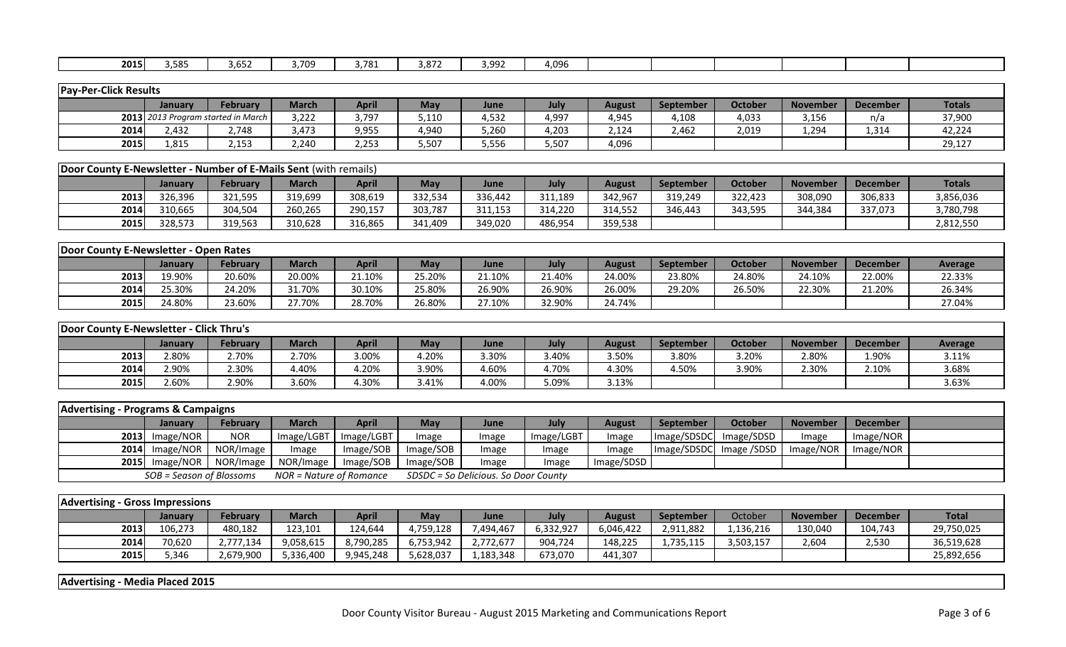| 2015 | 3,585 | $\sim$ $\sim$ $\sim$<br>ל למ<br>---- | 3,709 | 3,781 | $- -$<br>--<br>3,07 | : aar<br>J,JJ | $\sim$ $\sim$<br>4,UYD |  |  |  |
|------|-------|--------------------------------------|-------|-------|---------------------|---------------|------------------------|--|--|--|

| <b>Pay-Per-Click Results</b> |                |                                    |       |              |            |       |       |               |                  |         |                 |          |               |
|------------------------------|----------------|------------------------------------|-------|--------------|------------|-------|-------|---------------|------------------|---------|-----------------|----------|---------------|
|                              | <b>January</b> | February                           | March | <b>April</b> | <b>May</b> | June  | July  | <b>August</b> | <b>September</b> | October | <b>November</b> | December | <b>Totals</b> |
|                              |                | 2013 2013 Program started in March | 3,222 | 3,797        | 5,110      | 4,532 | 4,997 | 4,945         | 4,108            | 4,033   | 3,156           | n/a      | 37,900        |
| 2014                         | 2,432          | .748                               | 3,473 | 9,955        | 1,940      | 5,260 | 4,203 | 2,124         | 2,462            | 2,019   | 1,294           | 1,314    | 42,224        |
| 2015                         | 1,815          | 2,153                              | 2,240 | 2,253        | 5,507      | 5,556 | 507,د | 4,096         |                  |         |                 |          | 29,127        |

| <b>Door County E-Newsletter - Number of E-Mails Sent (with remails)</b> |                |          |              |         |         |         |         |         |                  |         |                 |                 |               |
|-------------------------------------------------------------------------|----------------|----------|--------------|---------|---------|---------|---------|---------|------------------|---------|-----------------|-----------------|---------------|
|                                                                         | <b>January</b> | February | <b>March</b> | April   | May     | June    | July    | August  | <b>September</b> | October | <b>November</b> | <b>December</b> | <b>Totals</b> |
| 2013                                                                    | 326.396        | 321,595  | 319,699      | 308,619 | 332,534 | 336.442 | 311,189 | 342,967 | 319.249          | 322,423 | 308,090         | 306,833         | 3,856,036     |
| 2014                                                                    | 310.665        | 304,504  | 260,265      | 290,157 | 303,787 | 311,153 | 314.220 | 314,552 | 346,443          | 343,595 | 344,384         | 337,073         | 3,780,798     |
| 2015                                                                    | 328,573        | 319,563  | 310,628      | 316,865 | 341,409 | 349,020 | 486,954 | 359,538 |                  |         |                 |                 | 2,812,550     |

| <b>IDoor County E-Newsletter - Open Rates</b> |         |                 |        |              |        |        |        |        |                  |         |                 |                 |         |
|-----------------------------------------------|---------|-----------------|--------|--------------|--------|--------|--------|--------|------------------|---------|-----------------|-----------------|---------|
|                                               | Januarv | <b>February</b> | March  | <b>April</b> | Mav    | June   | Julv   | August | <b>September</b> | October | <b>November</b> | <b>December</b> | Average |
| 2013                                          | 19.90%  | 20.60%          | 20.00% | 21.10%       | 25.20% | 21.10% | 21.40% | 24.00% | 23.80%           | 24.80%  | 24.10%          | 22.00%          | 22.33%  |
| 2014                                          | 25.30%  | 24.20%          | 31.70% | 30.10%       | 25.80% | 26.90% | 26.90% | 26.00% | 29.20%           | 26.50%  | 22.30%          | 21.20%          | 26.34%  |
| 2015                                          | 24.80%  | 23.60%          | 27.70% | 28.70%       | 26.80% | 27.10% | 32.90% | 24.74% |                  |         |                 |                 | 27.04%  |

| Door County E-Newsletter - Click Thru's |         |          |              |              |       |       |       |        |                  |                |                 |          |                |
|-----------------------------------------|---------|----------|--------------|--------------|-------|-------|-------|--------|------------------|----------------|-----------------|----------|----------------|
|                                         | January | February | <b>March</b> | <b>April</b> | May   | June  | July  | August | <b>September</b> | <b>October</b> | <b>November</b> | December | <b>Average</b> |
| 2013                                    | 2.80%   | 2.70%    | 2.70%        | 3.00%        | 4.20% | 3.30% | 3.40% | 3.50%  | 3.80%            | 3.20%          | 2.80%           | 1.90%    | 3.11%          |
| 2014                                    | 2.90%   | 2.30%    | 4.40%        | 4.20%        | 3.90% | 4.60% | 4.70% | 1.30%  | !.50%            | 3.90%          | 2.30%           | 2.10%    | 3.68%          |
| 2015                                    | 2.60%   | 2.90%    | 3.60%        | 4.30%        | 3.41% | 4.00% | 5.09% | 3.13%  |                  |                |                 |          | 3.63%          |

| <b>Advertising - Programs &amp; Campaigns</b> |                          |                            |                         |              |           |                                      |            |               |                  |                |                 |           |  |
|-----------------------------------------------|--------------------------|----------------------------|-------------------------|--------------|-----------|--------------------------------------|------------|---------------|------------------|----------------|-----------------|-----------|--|
|                                               | Januarv                  | <b>February</b>            | March                   | <b>April</b> | May       | June                                 | July       | <b>August</b> | <b>September</b> | <b>October</b> | <b>November</b> | December  |  |
|                                               | $2013$ Image/NOR         | <b>NOR</b>                 | Image/LGBT              | Image/LGBT   | mage      | Image                                | Image/LGBT | Image         | Image/SDSDC      | Image/SDSD     | Image           | Image/NOR |  |
|                                               |                          | 2014 Image/NOR   NOR/Image | Image                   | Image/SOB    | Image/SOB | Image                                | Image      | Image         | Image/SDSDC      | Image /SDSD    | Image/NOR       | Image/NOR |  |
|                                               |                          | 2015 Image/NOR   NOR/Image | NOR/Image               | Image/SOB    | Image/SOB | Image                                | mage       | Image/SDSD    |                  |                |                 |           |  |
|                                               | SOB = Season of Blossoms |                            | NOR = Nature of Romance |              |           | SDSDC = So Delicious. So Door County |            |               |                  |                |                 |           |  |

| <b>Advertising - Gross Impressions</b> |         |                 |              |              |           |           |           |           |           |           |                 |                 |              |
|----------------------------------------|---------|-----------------|--------------|--------------|-----------|-----------|-----------|-----------|-----------|-----------|-----------------|-----------------|--------------|
|                                        | January | <b>February</b> | <b>March</b> | <b>April</b> | Mav       | June      | July      | August    | September | October   | <b>November</b> | <b>December</b> | <b>Total</b> |
| 2013                                   | 106.273 | 480,182         | 123,101      | 124,644      | 4,759,128 | 7,494,467 | 6,332,927 | 6,046,422 | 2,911,882 | .,136,216 | 130,040         | 104,743         | 29,750,025   |
| 2014                                   | 70,620  | 2,777,134       | 9,058,615    | 8,790,285    | 6,753,942 | .,772,677 | 904,724   | 148,225   | 1,735,115 | 3,503,157 | 2,604           | 2,530           | 36,519,628   |
| 2015                                   | 5,346   | 2,679,900       | 5,336,400    | 9,945,248    | 5,628,037 | 1,183,348 | 673,070   | 441,307   |           |           |                 |                 | 25,892,656   |

**Advertising - Media Placed 2015**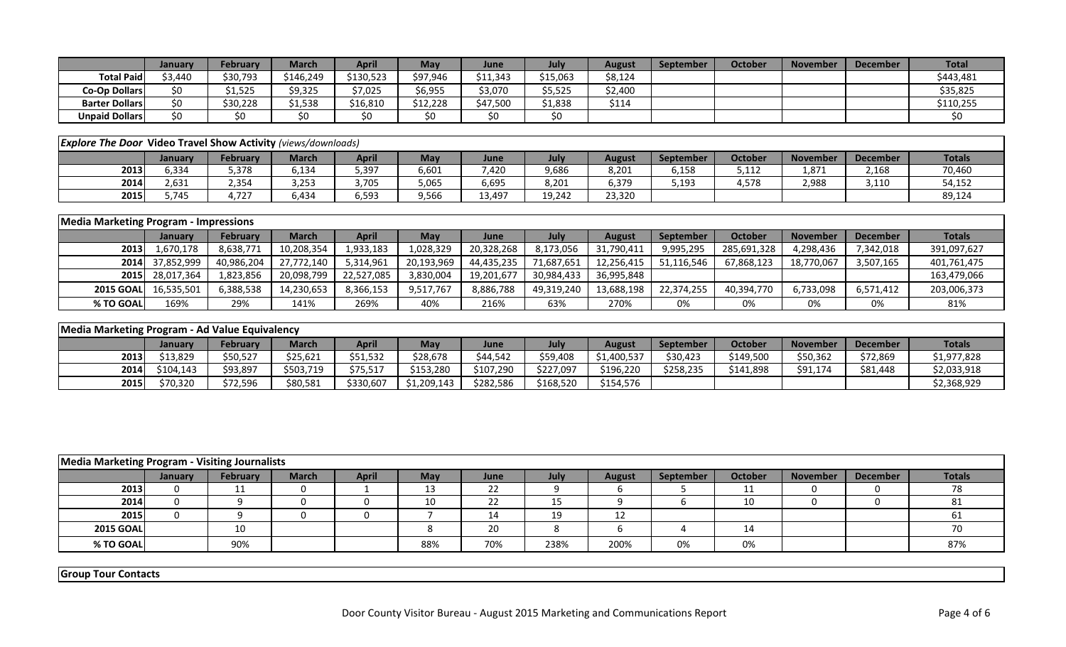|                       | January | <b>February</b> | March     | April     | <b>May</b> | June     | July     | August  | September | October | <b>November</b> | <b>December</b> | <b>Total</b> |
|-----------------------|---------|-----------------|-----------|-----------|------------|----------|----------|---------|-----------|---------|-----------------|-----------------|--------------|
| <b>Total Paidl</b>    | \$3.440 | \$30,793        | \$146.249 | \$130,523 | \$97,946   | \$11,343 | \$15,063 | \$8,124 |           |         |                 |                 | \$443,481    |
| Co-Op Dollars         |         | 1,525           | \$9,325   | \$7,025   | \$6,955    | 3,070ډ   | 5,525ډ   | \$2,400 |           |         |                 |                 | \$35,825     |
| <b>Barter Dollars</b> |         | \$30,228        | \$1,538   | \$16,810  | \$12,228   | \$47,500 | 1,838ء   | \$114   |           |         |                 |                 | \$110,255    |
| <b>Unpaid Dollars</b> |         |                 |           | \$0       | \$0        | \$0      | \$0      |         |           |         |                 |                 |              |

|      | <b>Explore The Door Video Travel Show Activity (views/downloads)</b> |          |              |              |       |        |        |        |           |         |                 |                 |               |  |
|------|----------------------------------------------------------------------|----------|--------------|--------------|-------|--------|--------|--------|-----------|---------|-----------------|-----------------|---------------|--|
|      | Januarv                                                              | February | <b>March</b> | <b>April</b> | May   | June   | July   | August | September | October | <b>November</b> | <b>December</b> | <b>Totals</b> |  |
| 2013 | 6,334                                                                | 5,378    | 134,د        | 5,397        | 6,601 | 420,   | 9,686  | 8,201  | 6,158     | 5,112   | 1,871           | 2,168           | 70,460        |  |
| 2014 | 2,631                                                                | 2,354    | 3,253        | 3,705        | 5,065 | 6,695  | 8,201  | 6,379  | 5,193     | 4,578   | 2.988           | 3,110           | 54,152        |  |
| 2015 | 5,745                                                                | 727،     | 6,434        | 6,593        | 9,566 | 13,497 | 19,242 | 23,320 |           |         |                 |                 | 89,124        |  |

|                  | <b>Media Marketing Program - Impressions</b> |                 |              |              |            |            |             |               |                  |             |                 |           |               |  |
|------------------|----------------------------------------------|-----------------|--------------|--------------|------------|------------|-------------|---------------|------------------|-------------|-----------------|-----------|---------------|--|
|                  | January                                      | <b>February</b> | <b>March</b> | <b>April</b> | <b>May</b> | June       | <b>July</b> | <b>August</b> | <b>September</b> | October     | <b>November</b> | December  | <b>Totals</b> |  |
| 2013             | 1,670,178                                    | 8,638,771       | 10,208,354   | 1,933,183    | 1,028,329  | 20,328,268 | 8,173,056   | 31,790,411    | 9,995,295        | 285,691,328 | 4,298,436       | 7,342,018 | 391,097,627   |  |
|                  | 2014 37,852,999                              | 40,986,204      | 27,772,140   | 5,314,961    | 20,193,969 | 44,435,235 | 71,687,651  | 12,256,415    | 51.116.546       | 67,868,123  | 18,770,067      | 3,507,165 | 401,761,475   |  |
|                  | 2015 28,017,364                              | 1,823,856       | 20,098,799   | 22,527,085   | 3,830,004  | 19,201,677 | 30,984,433  | 36,995,848    |                  |             |                 |           | 163,479,066   |  |
| <b>2015 GOAL</b> | 16,535,501                                   | 6,388,538       | 14,230,653   | 8,366,153    | 9,517,767  | 8,886,788  | 49,319,240  | 13,688,198    | 22,374,255       | 40.394.770  | 6,733,098       | 6,571,412 | 203,006,373   |  |
| % TO GOAL        | 169%                                         | 29%             | 141%         | 269%         | 40%        | 216%       | 63%         | 270%          | 0%               | 0%          | 0%              | 0%        | 81%           |  |

|      | Media Marketing Program - Ad Value Equivalency |                 |              |           |             |           |           |               |                  |           |                 |                 |               |  |
|------|------------------------------------------------|-----------------|--------------|-----------|-------------|-----------|-----------|---------------|------------------|-----------|-----------------|-----------------|---------------|--|
|      | January                                        | <b>February</b> | <b>March</b> | April     | <b>May</b>  | June      | July      | <b>August</b> | <b>September</b> | October   | <b>November</b> | <b>December</b> | <b>Totals</b> |  |
| 2013 | \$13.829                                       | \$50,527        | \$25,621     | \$51,532  | \$28,678    | \$44,542  | \$59,408  | \$1,400,537   | \$30,423         | \$149,500 | \$50,362        | \$72,869        | \$1,977,828   |  |
| 2014 | \$104.143                                      | \$93,897        | \$503,719    | \$75,517  | \$153,280   | \$107,290 | \$227,097 | \$196,220     | \$258.235        | \$141.898 | \$91,174        | \$81,448        | \$2,033,918   |  |
| 2015 | \$70,320                                       | \$72,596        | \$80,581     | \$330,607 | \$1,209,143 | \$282,586 | \$168,520 | \$154,576     |                  |           |                 |                 | \$2,368,929   |  |

|                  | Media Marketing Program - Visiting Journalists |                 |              |              |            |      |             |               |                  |         |                 |          |               |  |
|------------------|------------------------------------------------|-----------------|--------------|--------------|------------|------|-------------|---------------|------------------|---------|-----------------|----------|---------------|--|
|                  | January                                        | <b>February</b> | <b>March</b> | <b>April</b> | <b>May</b> | June | <b>July</b> | <b>August</b> | <b>September</b> | October | <b>November</b> | December | <b>Totals</b> |  |
| 2013             |                                                | <b>__</b>       |              |              | ᅩ          | 22   |             |               |                  | . .     |                 |          | 78            |  |
| 2014             |                                                |                 |              |              | 10         | 22   | ᅩ           |               |                  | 10      |                 |          |               |  |
| 2015             |                                                |                 |              |              |            | 14   | 19          | ᅩᄼ            |                  |         |                 |          |               |  |
| <b>2015 GOAL</b> |                                                | 10              |              |              |            | 20   |             |               |                  | 14      |                 |          | 70            |  |
| % TO GOAL        |                                                | 90%             |              |              | 88%        | 70%  | 238%        | 200%          | 0%               | 0%      |                 |          | 87%           |  |

**Group Tour Contacts**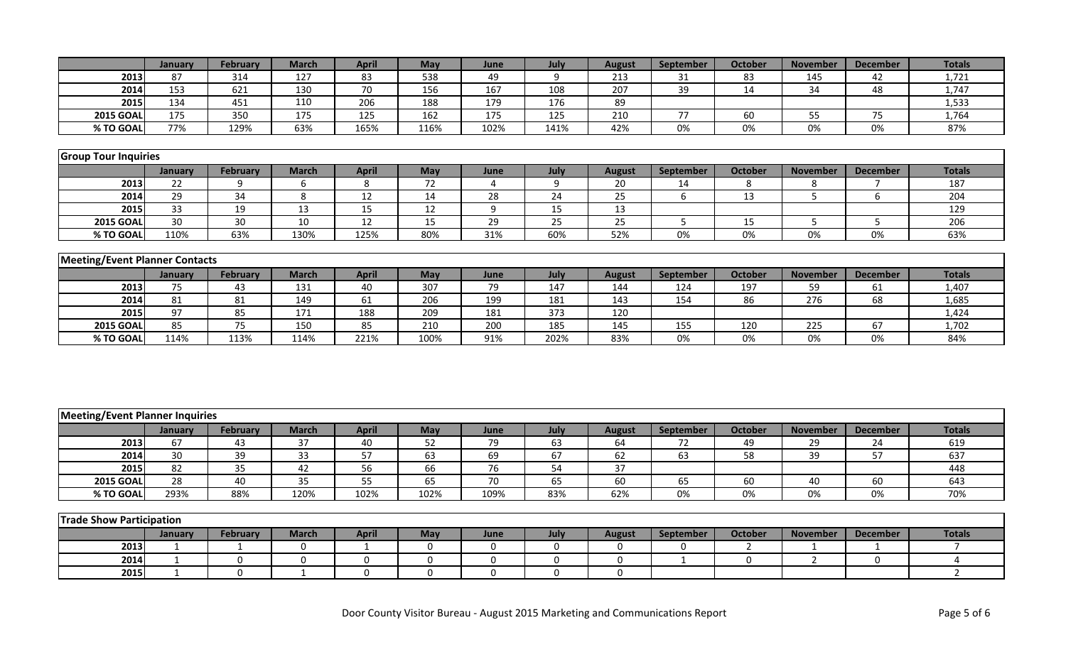|                                        | January         | February        | <b>March</b>    | <b>April</b>    | May              | June            | July             | <b>August</b>   | September        | <b>October</b>  | <b>November</b> | <b>December</b> | <b>Totals</b>    |
|----------------------------------------|-----------------|-----------------|-----------------|-----------------|------------------|-----------------|------------------|-----------------|------------------|-----------------|-----------------|-----------------|------------------|
| 2013                                   | 87              | 314             | 127             | 83              | 538              | 49              | 9                | 213             | 31               | 83              | 145             | 42              | 1,721            |
| 2014                                   | 153             | 621             | 130             | 70              | 156              | 167             | 108              | 207             | 39               | 14              | 34              | 48              | 1,747            |
| 2015                                   | 134             | 451             | 110             | 206             | 188              | 179             | 176              | 89              |                  |                 |                 |                 | 1,533            |
| <b>2015 GOAL</b>                       | 175             | 350             | 175             | 125             | 162              | 175             | $\overline{125}$ | 210             | $77 \,$          | 60              | 55              | 75              | 1,764            |
| % TO GOAL                              | 77%             | 129%            | 63%             | 165%            | 116%             | 102%            | 141%             | 42%             | 0%               | 0%              | 0%              | 0%              | 87%              |
|                                        |                 |                 |                 |                 |                  |                 |                  |                 |                  |                 |                 |                 |                  |
| <b>Group Tour Inquiries</b>            |                 |                 |                 |                 |                  |                 |                  |                 |                  |                 |                 |                 |                  |
|                                        | January         | <b>February</b> | <b>March</b>    | <b>April</b>    | May              | June            | July             | <b>August</b>   | September        | <b>October</b>  | <b>November</b> | <b>December</b> | <b>Totals</b>    |
| 2013                                   | 22              | 9               | 6               | 8               | $\overline{72}$  | 4               | 9                | 20              | 14               | 8               | 8               | $\overline{7}$  | 187              |
| 2014                                   | 29              | $\overline{34}$ | 8               | 12              | 14               | $\overline{28}$ | $\overline{24}$  | 25              | 6                | $\overline{13}$ | 5               | 6               | 204              |
| 2015                                   | $\overline{33}$ | 19              | 13              | 15              | $\overline{12}$  | 9               | 15               | 13              |                  |                 |                 |                 | 129              |
| <b>2015 GOAL</b>                       | 30              | 30              | 10              | 12              | 15               | 29              | 25               | 25              | 5                | 15              | 5               | 5               | $\overline{206}$ |
| % TO GOAL                              | 110%            | 63%             | 130%            | 125%            | 80%              | 31%             | 60%              | 52%             | 0%               | 0%              | 0%              | 0%              | 63%              |
|                                        |                 |                 |                 |                 |                  |                 |                  |                 |                  |                 |                 |                 |                  |
| <b>Meeting/Event Planner Contacts</b>  |                 |                 |                 |                 |                  |                 |                  |                 |                  |                 |                 |                 |                  |
|                                        | January         | <b>February</b> | <b>March</b>    | <b>April</b>    | May              | June            | July             | <b>August</b>   | <b>September</b> | <b>October</b>  | <b>November</b> | <b>December</b> | <b>Totals</b>    |
| 2013                                   | 75              | 43              | 131             | 40              | 307              | 79              | 147              | 144             | 124              | 197             | 59              | 61              | 1,407            |
| 2014                                   | 81              | 81              | 149             | 61              | 206              | 199             | 181              | 143             | 154              | 86              | 276             | 68              | 1,685            |
| 2015                                   | 97              | 85              | 171             | 188             | 209              | 181             | 373              | 120             |                  |                 |                 |                 | 1,424            |
| <b>2015 GOAL</b>                       | 85              | 75              | 150             | 85              | $\overline{210}$ | 200             | 185              | 145             | 155              | 120             | 225             | 67              | 1,702            |
| % TO GOAL                              | 114%            | 113%            | 114%            | 221%            | 100%             | 91%             | 202%             | 83%             | 0%               | $0\%$           | 0%              | 0%              | 84%              |
|                                        |                 |                 |                 |                 |                  |                 |                  |                 |                  |                 |                 |                 |                  |
|                                        |                 |                 |                 |                 |                  |                 |                  |                 |                  |                 |                 |                 |                  |
|                                        |                 |                 |                 |                 |                  |                 |                  |                 |                  |                 |                 |                 |                  |
|                                        |                 |                 |                 |                 |                  |                 |                  |                 |                  |                 |                 |                 |                  |
|                                        |                 |                 |                 |                 |                  |                 |                  |                 |                  |                 |                 |                 |                  |
| <b>Meeting/Event Planner Inquiries</b> |                 |                 |                 |                 |                  |                 |                  |                 |                  |                 |                 |                 |                  |
|                                        | January         | <b>February</b> | <b>March</b>    | <b>April</b>    | May              | June            | July             | <b>August</b>   | September        | <b>October</b>  | <b>November</b> | <b>December</b> | <b>Totals</b>    |
| 2013                                   | 67              | 43              | 37              | 40              | 52               | 79              | 63               | 64              | 72               | 49              | 29              | 24              | 619              |
| 2014                                   | 30              | $\overline{39}$ | $\overline{33}$ | 57              | 63               | 69              | 67               | 62              | 63               | $\overline{58}$ | 39              | 57              | 637              |
| 2015                                   | 82              | 35              | 42              | 56              | 66               | 76              | 54               | $\overline{37}$ |                  |                 |                 |                 | 448              |
| <b>2015 GOAL</b>                       | $\overline{28}$ | 40              | $\overline{35}$ | $\overline{55}$ | 65               | $\overline{70}$ | 65               | 60              | 65               | 60              | 40              | 60              | 643              |
| % TO GOAL                              | 293%            | 88%             | 120%            | 102%            | 102%             | 109%            | 83%              | 62%             | 0%               | 0%              | 0%              | 0%              | 70%              |
|                                        |                 |                 |                 |                 |                  |                 |                  |                 |                  |                 |                 |                 |                  |
| <b>Trade Show Participation</b>        |                 |                 |                 |                 |                  |                 |                  |                 |                  |                 |                 |                 |                  |
|                                        | January         | <b>February</b> | <b>March</b>    | <b>April</b>    | May              | June            | July             | <b>August</b>   | September        | <b>October</b>  | <b>November</b> | <b>December</b> | <b>Totals</b>    |
| 2013                                   | $\mathbf{1}$    | $\mathbf{1}$    | 0               | $\mathbf{1}$    | 0                | 0               | $\boldsymbol{0}$ | 0               | 0                | $\overline{2}$  | 1               | $\mathbf{1}$    | $\overline{7}$   |
| 2014                                   |                 |                 |                 |                 |                  |                 |                  |                 |                  |                 |                 |                 |                  |
|                                        | $\mathbf{1}$    | $\pmb{0}$       | $\pmb{0}$       | $\pmb{0}$       | $\boldsymbol{0}$ | 0               | $\pmb{0}$        | 0               | $\mathbf{1}$     | $\mathbf 0$     | $\overline{2}$  | $\mathbf 0$     | 4                |